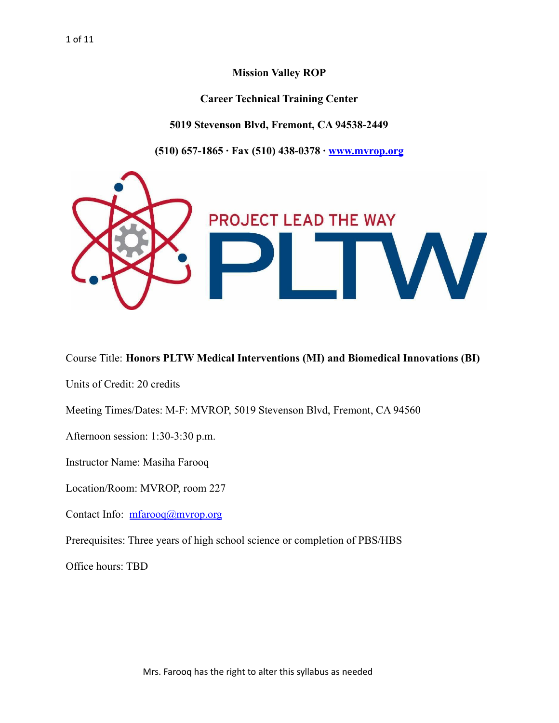**Mission Valley ROP**

**Career Technical Training Center**

**5019 Stevenson Blvd, Fremont, CA 94538-2449**

**(510) 657-1865 ∙ Fax (510) 438-0378 ∙ [www.mvrop.org](http://www.mvrop.org/)**



# Course Title: **Honors PLTW Medical Interventions (MI) and Biomedical Innovations (BI)**

Units of Credit: 20 credits

Meeting Times/Dates: M-F: MVROP, 5019 Stevenson Blvd, Fremont, CA 94560

Afternoon session: 1:30-3:30 p.m.

Instructor Name: Masiha Farooq

Location/Room: MVROP, room 227

Contact Info: [mfarooq@mvrop.org](mailto:mfarooq@mvrop.org)

Prerequisites: Three years of high school science or completion of PBS/HBS

Office hours: TBD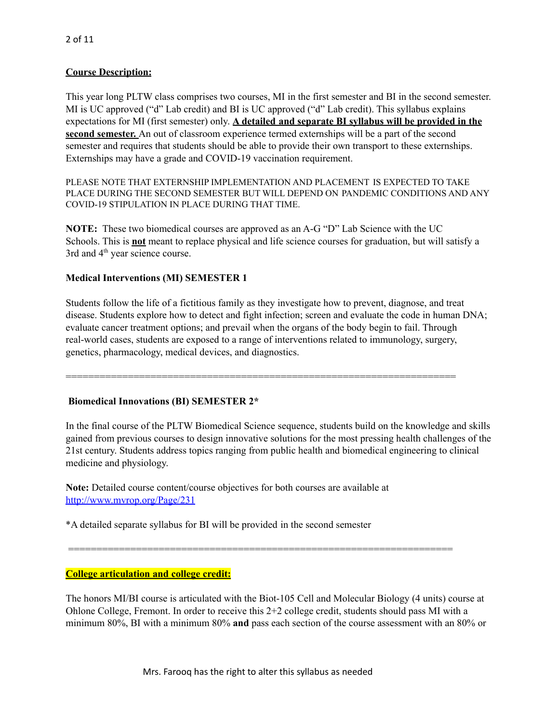#### **Course Description:**

This year long PLTW class comprises two courses, MI in the first semester and BI in the second semester. MI is UC approved ("d" Lab credit) and BI is UC approved ("d" Lab credit). This syllabus explains expectations for MI (first semester) only. **A detailed and separate BI syllabus will be provided in the second semester.** An out of classroom experience termed externships will be a part of the second semester and requires that students should be able to provide their own transport to these externships. Externships may have a grade and COVID-19 vaccination requirement.

PLEASE NOTE THAT EXTERNSHIP IMPLEMENTATION AND PLACEMENT IS EXPECTED TO TAKE PLACE DURING THE SECOND SEMESTER BUT WILL DEPEND ON PANDEMIC CONDITIONS AND ANY COVID-19 STIPULATION IN PLACE DURING THAT TIME.

**NOTE:** These two biomedical courses are approved as an A-G "D" Lab Science with the UC Schools. This is **not** meant to replace physical and life science courses for graduation, but will satisfy a 3rd and 4<sup>th</sup> year science course.

#### **Medical Interventions (MI) SEMESTER 1**

Students follow the life of a fictitious family as they investigate how to prevent, diagnose, and treat disease. Students explore how to detect and fight infection; screen and evaluate the code in human DNA; evaluate cancer treatment options; and prevail when the organs of the body begin to fail. Through real-world cases, students are exposed to a range of interventions related to immunology, surgery, genetics, pharmacology, medical devices, and diagnostics.

=====================================================================

#### **Biomedical Innovations (BI) SEMESTER 2\***

In the final course of the PLTW Biomedical Science sequence, students build on the knowledge and skills gained from previous courses to design innovative solutions for the most pressing health challenges of the 21st century. Students address topics ranging from public health and biomedical engineering to clinical medicine and physiology.

**Note:** Detailed course content/course objectives for both courses are available at <http://www.mvrop.org/Page/231>

\*A detailed separate syllabus for BI will be provided in the second semester

**College articulation and college credit:**

The honors MI/BI course is articulated with the Biot-105 Cell and Molecular Biology (4 units) course at Ohlone College, Fremont. In order to receive this 2+2 college credit, students should pass MI with a minimum 80%, BI with a minimum 80% **and** pass each section of the course assessment with an 80% or

====================================================================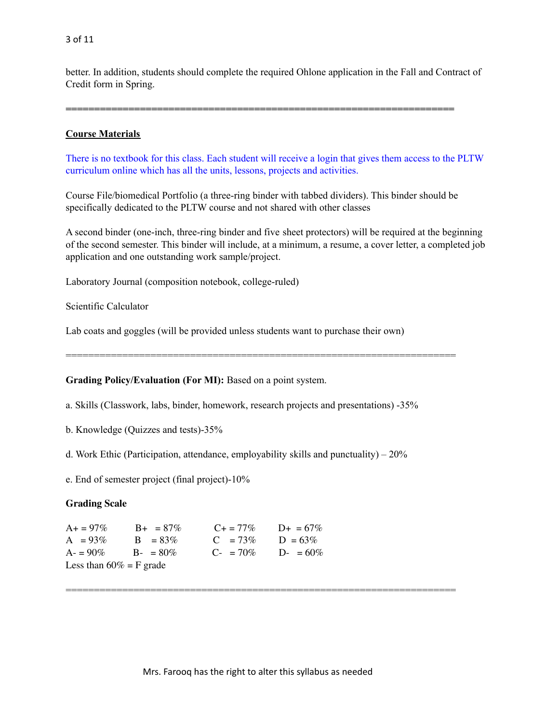better. In addition, students should complete the required Ohlone application in the Fall and Contract of Credit form in Spring.

**====================================================================**

#### **Course Materials**

There is no textbook for this class. Each student will receive a login that gives them access to the PLTW curriculum online which has all the units, lessons, projects and activities.

Course File/biomedical Portfolio (a three-ring binder with tabbed dividers). This binder should be specifically dedicated to the PLTW course and not shared with other classes

A second binder (one-inch, three-ring binder and five sheet protectors) will be required at the beginning of the second semester. This binder will include, at a minimum, a resume, a cover letter, a completed job application and one outstanding work sample/project.

Laboratory Journal (composition notebook, college-ruled)

Scientific Calculator

Lab coats and goggles (will be provided unless students want to purchase their own)

**Grading Policy/Evaluation (For MI):** Based on a point system.

a. Skills (Classwork, labs, binder, homework, research projects and presentations) -35%

=====================================================================

b. Knowledge (Quizzes and tests)-35%

d. Work Ethic (Participation, attendance, employability skills and punctuality) –  $20\%$ 

e. End of semester project (final project)-10%

#### **Grading Scale**

| $A+ = 97\%$                | $B_{+}$ = 87% | $C_{\pm} = 77\%$      | $D_{+} = 67\%$ |
|----------------------------|---------------|-----------------------|----------------|
| $A = 93\%$                 | $B = 83\%$    | $C = 73\%$            | $D = 63\%$     |
| $A = 90\%$                 | $B - = 80\%$  | $C_{\text{F}} = 70\%$ | $D = 60\%$     |
| Less than $60\% = F$ grade |               |                       |                |

=====================================================================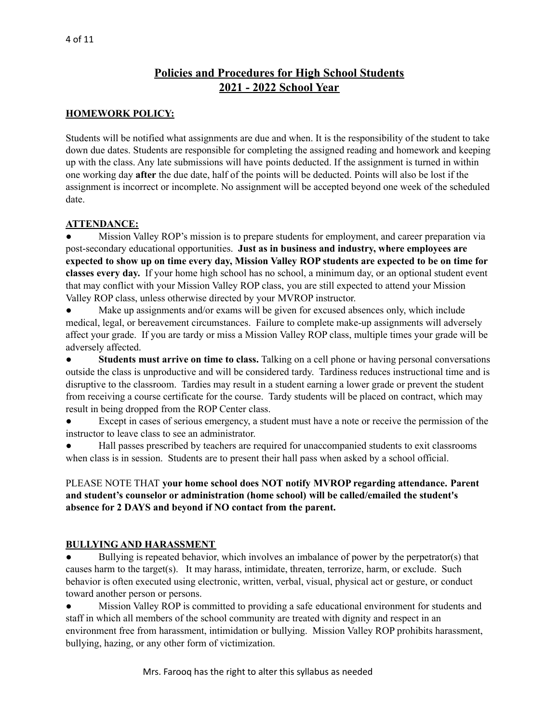# **Policies and Procedures for High School Students 2021 - 2022 School Year**

#### **HOMEWORK POLICY:**

Students will be notified what assignments are due and when. It is the responsibility of the student to take down due dates. Students are responsible for completing the assigned reading and homework and keeping up with the class. Any late submissions will have points deducted. If the assignment is turned in within one working day **after** the due date, half of the points will be deducted. Points will also be lost if the assignment is incorrect or incomplete. No assignment will be accepted beyond one week of the scheduled date.

#### **ATTENDANCE:**

Mission Valley ROP's mission is to prepare students for employment, and career preparation via post-secondary educational opportunities. **Just as in business and industry, where employees are** expected to show up on time every day, Mission Valley ROP students are expected to be on time for **classes every day.** If your home high school has no school, a minimum day, or an optional student event that may conflict with your Mission Valley ROP class, you are still expected to attend your Mission Valley ROP class, unless otherwise directed by your MVROP instructor.

● Make up assignments and/or exams will be given for excused absences only, which include medical, legal, or bereavement circumstances. Failure to complete make-up assignments will adversely affect your grade. If you are tardy or miss a Mission Valley ROP class, multiple times your grade will be adversely affected.

● **Students must arrive on time to class.** Talking on a cell phone or having personal conversations outside the class is unproductive and will be considered tardy. Tardiness reduces instructional time and is disruptive to the classroom. Tardies may result in a student earning a lower grade or prevent the student from receiving a course certificate for the course. Tardy students will be placed on contract, which may result in being dropped from the ROP Center class.

● Except in cases of serious emergency, a student must have a note or receive the permission of the instructor to leave class to see an administrator.

Hall passes prescribed by teachers are required for unaccompanied students to exit classrooms when class is in session. Students are to present their hall pass when asked by a school official.

#### PLEASE NOTE THAT **your home school does NOT notify MVROP regarding attendance. Parent and student's counselor or administration (home school) will be called/emailed the student's absence for 2 DAYS and beyond if NO contact from the parent.**

#### **BULLYING AND HARASSMENT**

• Bullying is repeated behavior, which involves an imbalance of power by the perpetrator(s) that causes harm to the target(s). It may harass, intimidate, threaten, terrorize, harm, or exclude. Such behavior is often executed using electronic, written, verbal, visual, physical act or gesture, or conduct toward another person or persons.

Mission Valley ROP is committed to providing a safe educational environment for students and staff in which all members of the school community are treated with dignity and respect in an environment free from harassment, intimidation or bullying. Mission Valley ROP prohibits harassment, bullying, hazing, or any other form of victimization.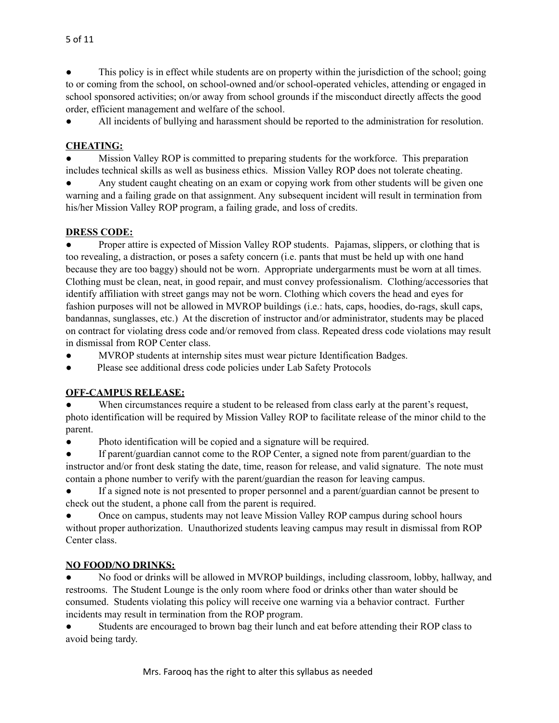This policy is in effect while students are on property within the jurisdiction of the school; going to or coming from the school, on school-owned and/or school-operated vehicles, attending or engaged in school sponsored activities; on/or away from school grounds if the misconduct directly affects the good order, efficient management and welfare of the school.

● All incidents of bullying and harassment should be reported to the administration for resolution.

# **CHEATING:**

Mission Valley ROP is committed to preparing students for the workforce. This preparation includes technical skills as well as business ethics. Mission Valley ROP does not tolerate cheating.

Any student caught cheating on an exam or copying work from other students will be given one warning and a failing grade on that assignment. Any subsequent incident will result in termination from his/her Mission Valley ROP program, a failing grade, and loss of credits.

#### **DRESS CODE:**

Proper attire is expected of Mission Valley ROP students. Pajamas, slippers, or clothing that is too revealing, a distraction, or poses a safety concern (i.e. pants that must be held up with one hand because they are too baggy) should not be worn. Appropriate undergarments must be worn at all times. Clothing must be clean, neat, in good repair, and must convey professionalism. Clothing/accessories that identify affiliation with street gangs may not be worn. Clothing which covers the head and eyes for fashion purposes will not be allowed in MVROP buildings (i.e.: hats, caps, hoodies, do-rags, skull caps, bandannas, sunglasses, etc.) At the discretion of instructor and/or administrator, students may be placed on contract for violating dress code and/or removed from class. Repeated dress code violations may result in dismissal from ROP Center class.

MVROP students at internship sites must wear picture Identification Badges.

● Please see additional dress code policies under Lab Safety Protocols

#### **OFF-CAMPUS RELEASE:**

When circumstances require a student to be released from class early at the parent's request, photo identification will be required by Mission Valley ROP to facilitate release of the minor child to the parent.

● Photo identification will be copied and a signature will be required.

If parent/guardian cannot come to the ROP Center, a signed note from parent/guardian to the instructor and/or front desk stating the date, time, reason for release, and valid signature. The note must contain a phone number to verify with the parent/guardian the reason for leaving campus.

If a signed note is not presented to proper personnel and a parent/guardian cannot be present to check out the student, a phone call from the parent is required.

Once on campus, students may not leave Mission Valley ROP campus during school hours without proper authorization. Unauthorized students leaving campus may result in dismissal from ROP Center class.

#### **NO FOOD/NO DRINKS:**

No food or drinks will be allowed in MVROP buildings, including classroom, lobby, hallway, and restrooms. The Student Lounge is the only room where food or drinks other than water should be consumed. Students violating this policy will receive one warning via a behavior contract. Further incidents may result in termination from the ROP program.

Students are encouraged to brown bag their lunch and eat before attending their ROP class to avoid being tardy.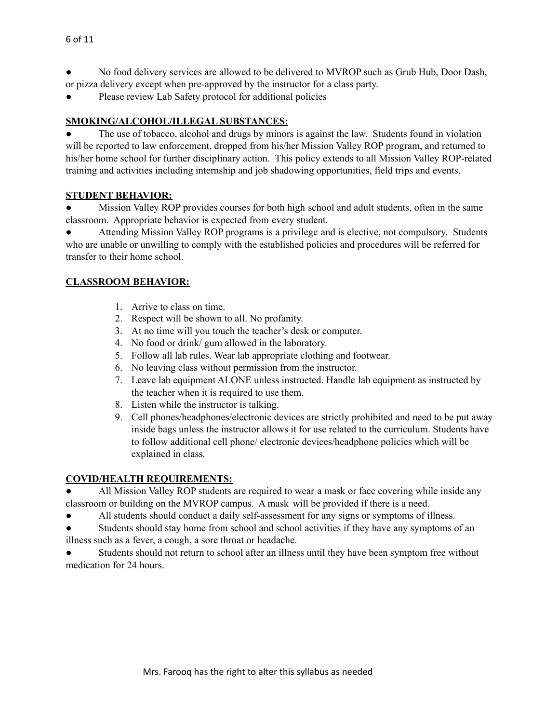- No food delivery services are allowed to be delivered to MVROP such as Grub Hub, Door Dash, or pizza delivery except when pre-approved by the instructor for a class party.
- Please review Lab Safety protocol for additional policies

#### **SMOKING/ALCOHOL/ILLEGAL SUBSTANCES:**

The use of tobacco, alcohol and drugs by minors is against the law. Students found in violation will be reported to law enforcement, dropped from his/her Mission Valley ROP program, and returned to his/her home school for further disciplinary action. This policy extends to all Mission Valley ROP-related training and activities including internship and job shadowing opportunities, field trips and events.

#### **STUDENT BEHAVIOR:**

Mission Valley ROP provides courses for both high school and adult students, often in the same classroom. Appropriate behavior is expected from every student.

● Attending Mission Valley ROP programs is a privilege and is elective, not compulsory. Students who are unable or unwilling to comply with the established policies and procedures will be referred for transfer to their home school.

# **CLASSROOM BEHAVIOR:**

- 1. Arrive to class on time.
- 2. Respect will be shown to all. No profanity.
- 3. At no time will you touch the teacher's desk or computer.
- 4. No food or drink/ gum allowed in the laboratory.
- 5. Follow all lab rules. Wear lab appropriate clothing and footwear.
- 6. No leaving class without permission from the instructor.
- 7. Leave lab equipment ALONE unless instructed. Handle lab equipment as instructed by the teacher when it is required to use them.
- 8. Listen while the instructor is talking.
- 9. Cell phones/headphones/electronic devices are strictly prohibited and need to be put away inside bags unless the instructor allows it for use related to the curriculum. Students have to follow additional cell phone/ electronic devices/headphone policies which will be explained in class.

#### **COVID/HEALTH REQUIREMENTS:**

All Mission Valley ROP students are required to wear a mask or face covering while inside any classroom or building on the MVROP campus. A mask will be provided if there is a need.

● All students should conduct a daily self-assessment for any signs or symptoms of illness.

● Students should stay home from school and school activities if they have any symptoms of an illness such as a fever, a cough, a sore throat or headache.

Students should not return to school after an illness until they have been symptom free without medication for 24 hours.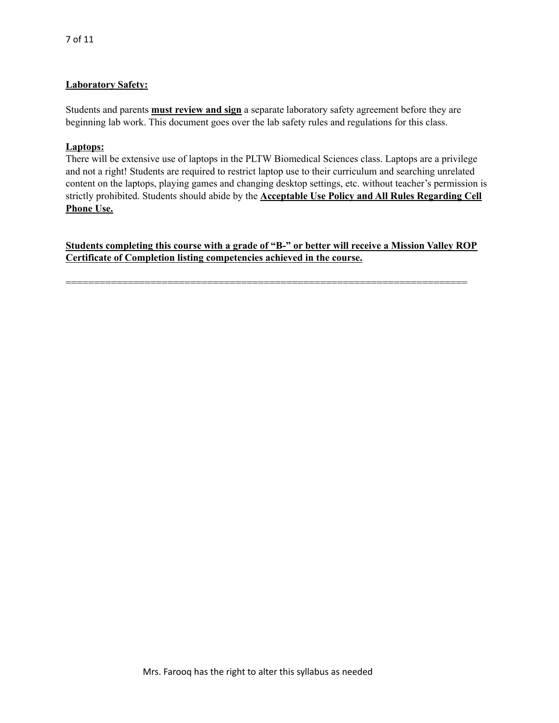#### **Laboratory Safety:**

Students and parents **must review and sign** a separate laboratory safety agreement before they are beginning lab work. This document goes over the lab safety rules and regulations for this class.

#### **Laptops:**

There will be extensive use of laptops in the PLTW Biomedical Sciences class. Laptops are a privilege and not a right! Students are required to restrict laptop use to their curriculum and searching unrelated content on the laptops, playing games and changing desktop settings, etc. without teacher's permission is strictly prohibited. Students should abide by the **Acceptable Use Policy and All Rules Regarding Cell Phone Use.**

**Students completing this course with a grade of "B-" or better will receive a Mission Valley ROP Certificate of Completion listing competencies achieved in the course.**

=======================================================================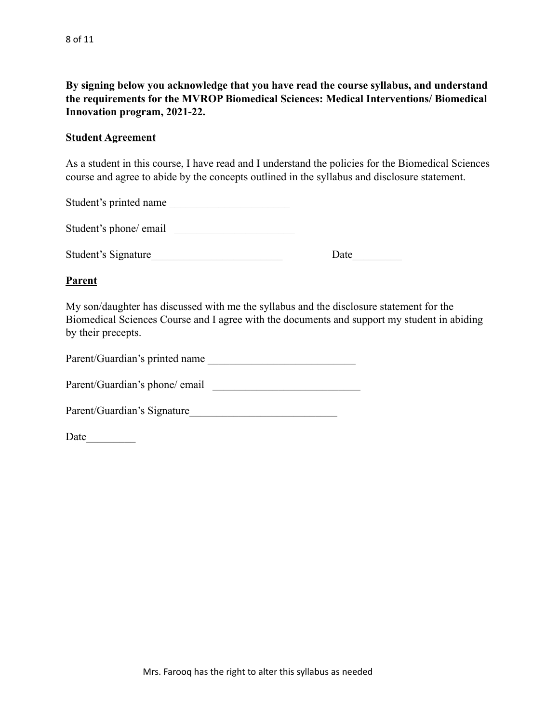**By signing below you acknowledge that you have read the course syllabus, and understand the requirements for the MVROP Biomedical Sciences: Medical Interventions/ Biomedical Innovation program, 2021-22.**

#### **Student Agreement**

As a student in this course, I have read and I understand the policies for the Biomedical Sciences course and agree to abide by the concepts outlined in the syllabus and disclosure statement.

Student's printed name

Student's phone/ email

Student's Signature Date

# **Parent**

My son/daughter has discussed with me the syllabus and the disclosure statement for the Biomedical Sciences Course and I agree with the documents and support my student in abiding by their precepts.

Parent/Guardian's printed name \_\_\_\_\_\_\_\_\_\_\_\_\_\_\_\_\_\_\_\_\_\_\_\_\_\_\_

Parent/Guardian's phone/ email \_\_\_\_\_\_\_\_\_\_\_\_\_\_\_\_\_\_\_\_\_\_\_\_\_\_\_

Parent/Guardian's Signature\_\_\_\_\_\_\_\_\_\_\_\_\_\_\_\_\_\_\_\_\_\_\_\_\_\_\_

Date\_\_\_\_\_\_\_\_\_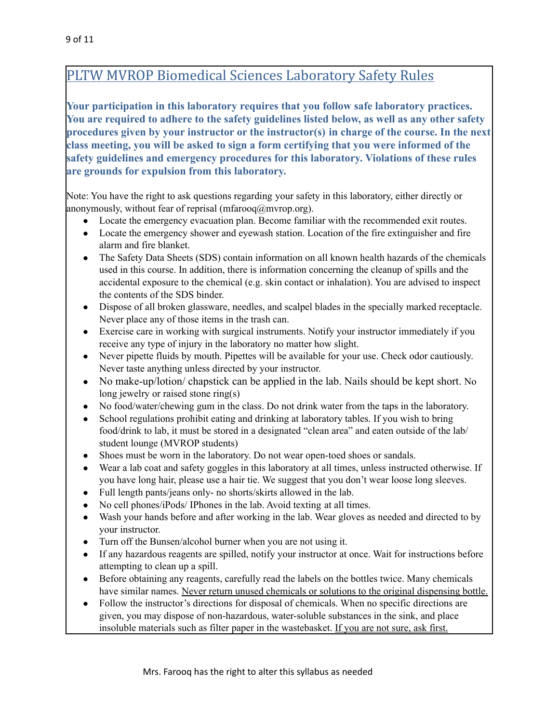# PLTW MVROP Biomedical Sciences Laboratory Safety Rules

**Your participation in this laboratory requires that you follow safe laboratory practices. You are required to adhere to the safety guidelines listed below, as well as any other safety procedures given by your instructor or the instructor(s) in charge of the course. In the next class meeting, you will be asked to sign a form certifying that you were informed of the safety guidelines and emergency procedures for this laboratory. Violations of these rules are grounds for expulsion from this laboratory.**

Note: You have the right to ask questions regarding your safety in this laboratory, either directly or anonymously, without fear of reprisal (mfarooq $\omega$ mvrop.org).

- Locate the emergency evacuation plan. Become familiar with the recommended exit routes.
- Locate the emergency shower and eyewash station. Location of the fire extinguisher and fire alarm and fire blanket.
- The Safety Data Sheets (SDS) contain information on all known health hazards of the chemicals used in this course. In addition, there is information concerning the cleanup of spills and the accidental exposure to the chemical (e.g. skin contact or inhalation). You are advised to inspect the contents of the SDS binder.
- Dispose of all broken glassware, needles, and scalpel blades in the specially marked receptacle. Never place any of those items in the trash can.
- Exercise care in working with surgical instruments. Notify your instructor immediately if you receive any type of injury in the laboratory no matter how slight.
- Never pipette fluids by mouth. Pipettes will be available for your use. Check odor cautiously. Never taste anything unless directed by your instructor.
- No make-up/lotion/ chapstick can be applied in the lab. Nails should be kept short. No long jewelry or raised stone ring(s)
- No food/water/chewing gum in the class. Do not drink water from the taps in the laboratory.
- School regulations prohibit eating and drinking at laboratory tables. If you wish to bring food/drink to lab, it must be stored in a designated "clean area" and eaten outside of the lab/ student lounge (MVROP students)
- Shoes must be worn in the laboratory. Do not wear open-toed shoes or sandals.
- Wear a lab coat and safety goggles in this laboratory at all times, unless instructed otherwise. If you have long hair, please use a hair tie. We suggest that you don't wear loose long sleeves.
- Full length pants/jeans only- no shorts/skirts allowed in the lab.
- No cell phones/iPods/ IPhones in the lab. Avoid texting at all times.
- Wash your hands before and after working in the lab. Wear gloves as needed and directed to by your instructor.
- Turn off the Bunsen/alcohol burner when you are not using it.
- If any hazardous reagents are spilled, notify your instructor at once. Wait for instructions before attempting to clean up a spill.
- Before obtaining any reagents, carefully read the labels on the bottles twice. Many chemicals have similar names. Never return unused chemicals or solutions to the original dispensing bottle.
- Follow the instructor's directions for disposal of chemicals. When no specific directions are given, you may dispose of non-hazardous, water-soluble substances in the sink, and place insoluble materials such as filter paper in the wastebasket. If you are not sure, ask first.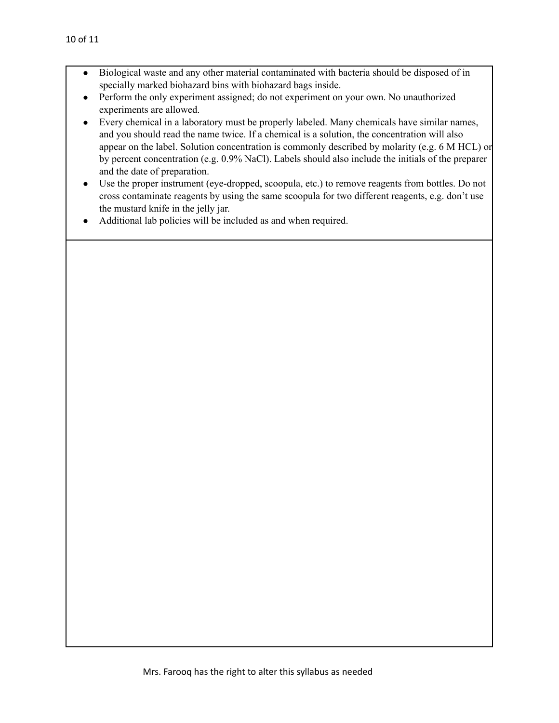- Biological waste and any other material contaminated with bacteria should be disposed of in specially marked biohazard bins with biohazard bags inside.
- Perform the only experiment assigned; do not experiment on your own. No unauthorized experiments are allowed.
- Every chemical in a laboratory must be properly labeled. Many chemicals have similar names, and you should read the name twice. If a chemical is a solution, the concentration will also appear on the label. Solution concentration is commonly described by molarity (e.g. 6 M HCL) or by percent concentration (e.g. 0.9% NaCl). Labels should also include the initials of the preparer and the date of preparation.
- Use the proper instrument (eye-dropped, scoopula, etc.) to remove reagents from bottles. Do not cross contaminate reagents by using the same scoopula for two different reagents, e.g. don't use the mustard knife in the jelly jar.
- Additional lab policies will be included as and when required.